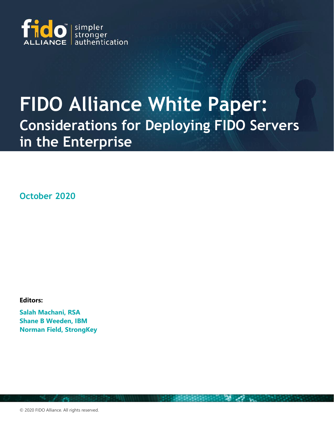

# **FIDO Alliance White Paper: Considerations for Deploying FIDO Servers in the Enterprise**

**October 2020**

**Editors:**

**Salah Machani, RSA Shane B Weeden, IBM Norman Field, StrongKey**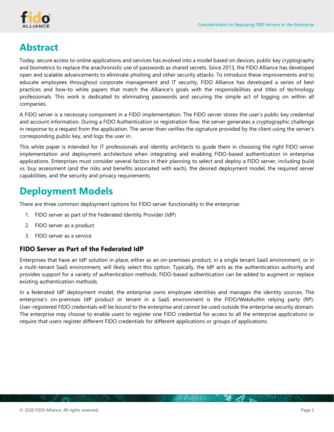

# **Abstract**

Today, secure access to online applications and services has evolved into a model based on devices, public key cryptography and biometrics to replace the anachronistic use of passwords as shared secrets. Since 2013, the FIDO Alliance has developed open and scalable advancements to eliminate phishing and other security attacks. To introduce these improvements and to educate employees throughout corporate management and IT security, FIDO Alliance has developed a series of best practices and how-to white papers that match the Alliance's goals with the responsibilities and titles of technology professionals. This work is dedicated to eliminating passwords and securing the simple act of logging on within all companies.

A FIDO server is a necessary component in a FIDO implementation. The FIDO server stores the user's public key credential and account information. During a FIDO Authentication or registration flow, the server generates a cryptographic challenge in response to a request from the application. The server then verifies the signature provided by the client using the server's corresponding public key, and logs the user in.

This white paper is intended for IT professionals and identity architects to guide them in choosing the right FIDO server implementation and deployment architecture when integrating and enabling FIDO-based authentication in enterprise applications. Enterprises must consider several factors in their planning to select and deploy a FIDO server, including build vs. buy assessment (and the risks and benefits associated with each), the desired deployment model, the required server capabilities, and the security and privacy requirements.

### **Deployment Models**

There are three common deployment options for FIDO server functionality in the enterprise:

- 1. FIDO server as part of the Federated Identity Provider (IdP)
- 2. FIDO server as a product
- 3. FIDO server as a service

#### **FIDO Server as Part of the Federated IdP**

Enterprises that have an IdP solution in place, either as an on-premises product, in a single tenant SaaS environment, or in a multi-tenant SaaS environment, will likely select this option. Typically, the IdP acts as the authentication authority and provides support for a variety of authentication methods. FIDO-based authentication can be added to augment or replace existing authentication methods.

In a federated IdP deployment model, the enterprise owns employee identities and manages the identity sources. The enterprise's on-premises IdP product or tenant in a SaaS environment is the FIDO/WebAuthn relying party (RP). User-registered FIDO credentials will be bound to the enterprise and cannot be used outside the enterprise security domain. The enterprise may choose to enable users to register one FIDO credential for access to all the enterprise applications or require that users register different FIDO credentials for different applications or groups of applications.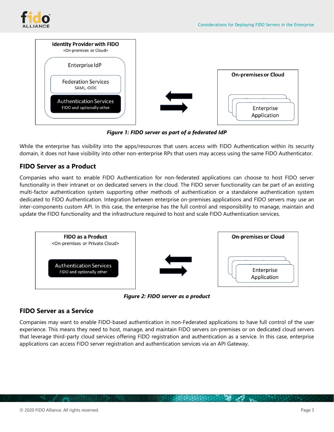



*Figure 1: FIDO server as part of a federated IdP*

While the enterprise has visibility into the apps/resources that users access with FIDO Authentication within its security domain, it does not have visibility into other non-enterprise RPs that users may access using the same FIDO Authenticator.

#### **FIDO Server as a Product**

Companies who want to enable FIDO Authentication for non-federated applications can choose to host FIDO server functionality in their intranet or on dedicated servers in the cloud. The FIDO server functionality can be part of an existing multi-factor authentication system supporting other methods of authentication or a standalone authentication system dedicated to FIDO Authentication. Integration between enterprise on-premises applications and FIDO servers may use an inter-components custom API. In this case, the enterprise has the full control and responsibility to manage, maintain and update the FIDO functionality and the infrastructure required to host and scale FIDO Authentication services.



*Figure 2: FIDO server as a product*

#### **FIDO Server as a Service**

Companies may want to enable FIDO-based authentication in non-Federated applications to have full control of the user experience. This means they need to host, manage, and maintain FIDO servers on-premises or on dedicated cloud servers that leverage third-party cloud services offering FIDO registration and authentication as a service. In this case, enterprise applications can access FIDO server registration and authentication services via an API Gateway.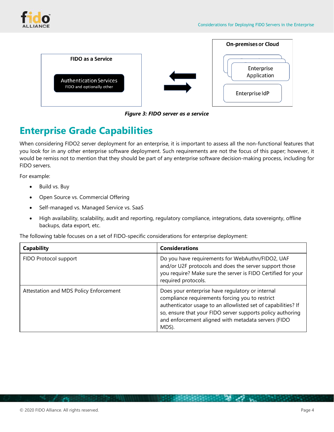



*Figure 3: FIDO server as a service*

## **Enterprise Grade Capabilities**

When considering FIDO2 server deployment for an enterprise, it is important to assess all the non-functional features that you look for in any other enterprise software deployment. Such requirements are not the focus of this paper; however, it would be remiss not to mention that they should be part of any enterprise software decision-making process, including for FIDO servers.

For example:

- Build vs. Buy
- Open Source vs. Commercial Offering
- Self-managed vs. Managed Service vs. SaaS
- High availability, scalability, audit and reporting, regulatory compliance, integrations, data sovereignty, offline backups, data export, etc.

The following table focuses on a set of FIDO-specific considerations for enterprise deployment:

| Capability                             | <b>Considerations</b>                                                                                                                                                                                                                                                                              |
|----------------------------------------|----------------------------------------------------------------------------------------------------------------------------------------------------------------------------------------------------------------------------------------------------------------------------------------------------|
| FIDO Protocol support                  | Do you have requirements for WebAuthn/FIDO2, UAF<br>and/or U2F protocols and does the server support those<br>you require? Make sure the server is FIDO Certified for your<br>required protocols.                                                                                                  |
| Attestation and MDS Policy Enforcement | Does your enterprise have regulatory or internal<br>compliance requirements forcing you to restrict<br>authenticator usage to an allowlisted set of capabilities? If<br>so, ensure that your FIDO server supports policy authoring<br>and enforcement aligned with metadata servers (FIDO<br>MDS). |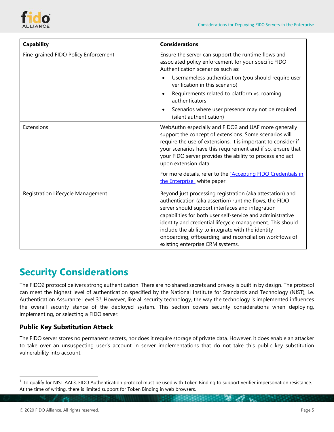

| <b>Capability</b>                    | <b>Considerations</b>                                                                                                                                                                                                                                                                                                                                                                                                                                    |
|--------------------------------------|----------------------------------------------------------------------------------------------------------------------------------------------------------------------------------------------------------------------------------------------------------------------------------------------------------------------------------------------------------------------------------------------------------------------------------------------------------|
| Fine-grained FIDO Policy Enforcement | Ensure the server can support the runtime flows and<br>associated policy enforcement for your specific FIDO<br>Authentication scenarios such as:                                                                                                                                                                                                                                                                                                         |
|                                      | Usernameless authentication (you should require user<br>$\bullet$<br>verification in this scenario)                                                                                                                                                                                                                                                                                                                                                      |
|                                      | Requirements related to platform vs. roaming<br>authenticators                                                                                                                                                                                                                                                                                                                                                                                           |
|                                      | Scenarios where user presence may not be required<br>٠<br>(silent authentication)                                                                                                                                                                                                                                                                                                                                                                        |
| Extensions                           | WebAuthn especially and FIDO2 and UAF more generally<br>support the concept of extensions. Some scenarios will<br>require the use of extensions. It is important to consider if<br>your scenarios have this requirement and if so, ensure that<br>your FIDO server provides the ability to process and act<br>upon extension data.                                                                                                                       |
|                                      | For more details, refer to the "Accepting FIDO Credentials in<br>the Enterprise" white paper.                                                                                                                                                                                                                                                                                                                                                            |
| Registration Lifecycle Management    | Beyond just processing registration (aka attestation) and<br>authentication (aka assertion) runtime flows, the FIDO<br>server should support interfaces and integration<br>capabilities for both user self-service and administrative<br>identity and credential lifecycle management. This should<br>include the ability to integrate with the identity<br>onboarding, offboarding, and reconciliation workflows of<br>existing enterprise CRM systems. |

### **Security Considerations**

The FIDO2 protocol delivers strong authentication. There are no shared secrets and privacy is built in by design. The protocol can meet the highest level of authentication specified by the National Institute for Standards and Technology (NIST), i.e. Authentication Assurance Level 3<sup>[1](#page-4-0)</sup>. However, like all security technology, the way the technology is implemented influences the overall security stance of the deployed system. This section covers security considerations when deploying, implementing, or selecting a FIDO server.

#### **Public Key Substitution Attack**

The FIDO server stores no permanent secrets, nor does it require storage of private data. However, it does enable an attacker to take over an unsuspecting user's account in server implementations that do not take this public key substitution vulnerability into account.

<span id="page-4-0"></span> $<sup>1</sup>$  To qualify for NIST AAL3, FIDO Authentication protocol must be used with Token Binding to support verifier impersonation resistance.</sup> At the time of writing, there is limited support for Token Binding in web browsers.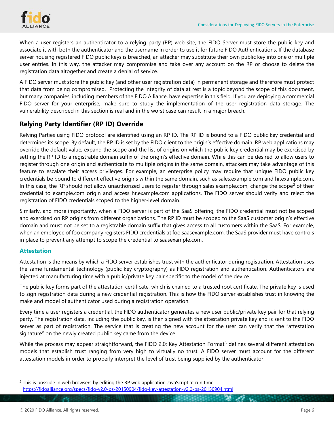

When a user registers an authenticator to a relying party (RP) web site, the FIDO Server must store the public key and associate it with both the authenticator and the username in order to use it for future FIDO Authentications. If the database server housing registered FIDO public keys is breached, an attacker may substitute their own public key into one or multiple user entries. In this way, the attacker may compromise and take over any account on the RP or choose to delete the registration data altogether and create a denial of service.

A FIDO server must store the public key (and other user registration data) in permanent storage and therefore must protect that data from being compromised. Protecting the integrity of data at rest is a topic beyond the scope of this document, but many companies, including members of the FIDO Alliance, have expertise in this field. If you are deploying a commercial FIDO server for your enterprise, make sure to study the implementation of the user registration data storage. The vulnerability described in this section is real and in the worst case can result in a major breach.

#### **Relying Party Identifier (RP ID) Override**

Relying Parties using FIDO protocol are identified using an RP ID. The RP ID is bound to a FIDO public key credential and determines its scope. By default, the RP ID is set by the FIDO client to the origin's effective domain. RP web applications may override the default value, expand the scope and the list of origins on which the public key credential may be exercised by setting the RP ID to a registrable domain suffix of the origin's effective domain. While this can be desired to allow users to register through one origin and authenticate to multiple origins in the same domain, attackers may take advantage of this feature to escalate their access privileges. For example, an enterprise policy may require that unique FIDO public key credentials be bound to different effective origins within the same domain, such as sales.example.com and hr.example.com. In this case, the RP should not allow unauthorized users to register through sales.example.com, change the scope<sup>[2](#page-5-0)</sup> of their credential to example.com origin and access hr.example.com applications. The FIDO server should verify and reject the registration of FIDO credentials scoped to the higher-level domain.

Similarly, and more importantly, when a FIDO server is part of the SaaS offering, the FIDO credential must not be scoped and exercised on RP origins from different organizations. The RP ID must be scoped to the SaaS customer origin's effective domain and must not be set to a registrable domain suffix that gives access to all customers within the SaaS. For example, when an employee of foo company registers FIDO credentials at foo.saasexample.com, the SaaS provider must have controls in place to prevent any attempt to scope the credential to saasexample.com.

#### **Attestation**

Attestation is the means by which a FIDO server establishes trust with the authenticator during registration. Attestation uses the same fundamental technology (public key cryptography) as FIDO registration and authentication. Authenticators are injected at manufacturing time with a public/private key pair specific to the model of the device.

The public key forms part of the attestation certificate, which is chained to a trusted root certificate. The private key is used to sign registration data during a new credential registration. This is how the FIDO server establishes trust in knowing the make and model of authenticator used during a registration operation.

Every time a user registers a credential, the FIDO authenticator generates a new user public/private key pair for that relying party. The registration data, including the public key, is then signed with the attestation private key and is sent to the FIDO server as part of registration. The service that is creating the new account for the user can verify that the "attestation signature" on the newly created public key came from the device.

While the process may appear straightforward, the FIDO 2.0: Key Attestation Format<sup>[3](#page-5-1)</sup> defines several different attestation models that establish trust ranging from very high to virtually no trust. A FIDO server must account for the different attestation models in order to properly interpret the level of trust being supplied by the authenticator.

<span id="page-5-0"></span> $<sup>2</sup>$  This is possible in web browsers by editing the RP web application JavaScript at run time.</sup>

<span id="page-5-1"></span><sup>3</sup> <https://fidoalliance.org/specs/fido-v2.0-ps-20150904/fido-key-attestation-v2.0-ps-20150904.html>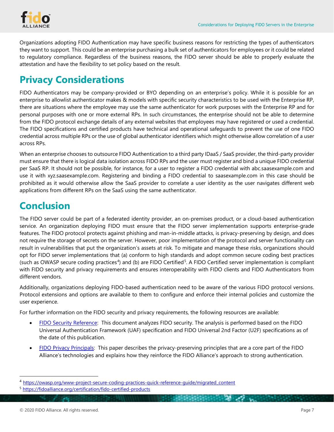Organizations adopting FIDO Authentication may have specific business reasons for restricting the types of authenticators they want to support. This could be an enterprise purchasing a bulk set of authenticators for employees or it could be related to regulatory compliance. Regardless of the business reasons, the FIDO server should be able to properly evaluate the attestation and have the flexibility to set policy based on the result.

#### **Privacy Considerations**

FIDO Authenticators may be company-provided or BYO depending on an enterprise's policy. While it is possible for an enterprise to allowlist authenticator makes & models with specific security characteristics to be used with the Enterprise RP, there are situations where the employee may use the same authenticator for work purposes with the Enterprise RP and for personal purposes with one or more external RPs. In such circumstances, the enterprise should not be able to determine from the FIDO protocol exchange details of any external websites that employees may have registered or used a credential. The FIDO specifications and certified products have technical and operational safeguards to prevent the use of one FIDO credential across multiple RPs or the use of global authenticator identifiers which might otherwise allow correlation of a user across RPs.

When an enterprise chooses to outsource FIDO Authentication to a third party IDaaS / SaaS provider, the third-party provider must ensure that there is logical data isolation across FIDO RPs and the user must register and bind a unique FIDO credential per SaaS RP. It should not be possible, for instance, for a user to register a FIDO credential with abc.saasexample.com and use it with xyz.saasexample.com. Registering and binding a FIDO credential to saasexample.com in this case should be prohibited as it would otherwise allow the SaaS provider to correlate a user identity as the user navigates different web applications from different RPs on the SaaS using the same authenticator.

### **Conclusion**

The FIDO server could be part of a federated identity provider, an on-premises product, or a cloud-based authentication service. An organization deploying FIDO must ensure that the FIDO server implementation supports enterprise-grade features. The FIDO protocol protects against phishing and man-in-middle attacks, is privacy-preserving by design, and does not require the storage of secrets on the server. However, poor implementation of the protocol and server functionality can result in vulnerabilities that put the organization's assets at risk. To mitigate and manage these risks, organizations should opt for FIDO server implementations that (a) conform to high standards and adopt common secure coding best practices (such as OWASP secure coding practices<sup>4</sup>) and (b) are FIDO Certified<sup>[5](#page-6-1)</sup>. A FIDO Certified server implementation is compliant with FIDO security and privacy requirements and ensures interoperability with FIDO clients and FIDO Authenticators from different vendors.

Additionally, organizations deploying FIDO-based authentication need to be aware of the various FIDO protocol versions. Protocol extensions and options are available to them to configure and enforce their internal policies and customize the user experience.

For further information on the FIDO security and privacy requirements, the following resources are available:

- FIDO Security Reference: This document analyzes FIDO security. The analysis is performed based on the FIDO [Universal Authentication Framework \(UAF\) specification and FIDO Universal 2nd Factor \(U2F\) specifications as of](https://fidoalliance.org/specs/fido-uaf-v1.1-ps-20170202/fido-security-ref-v1.1-ps-20170202.html)  [the date of this publication.](https://fidoalliance.org/specs/fido-uaf-v1.1-ps-20170202/fido-security-ref-v1.1-ps-20170202.html)
- [FIDO Privacy Principals:](https://media.fidoalliance.org/wp-content/uploads/2014/12/FIDO_Alliance_Whitepaper_Privacy_Principles.pdf) This paper describes the privacy-preserving principles that are a core part of the FIDO Alliance's technologies and explains how they reinforce the FIDO Alliance's approach to strong authentication.

<span id="page-6-0"></span><sup>4</sup> [https://owasp.org/www-project-secure-coding-practices-quick-reference-guide/migrated\\_content](https://owasp.org/www-project-secure-coding-practices-quick-reference-guide/migrated_content)

<span id="page-6-1"></span><sup>5</sup> <https://fidoalliance.org/certification/fido-certified-products>